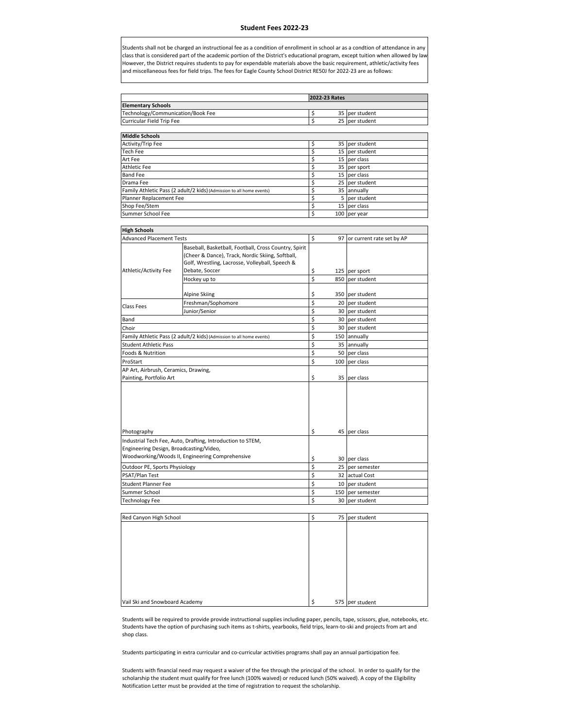## **Student Fees 2022‐23**

Students shall not be charged an instructional fee as a condition of enrollment in school ar as a condtion of attendance in any class that is considered part of the academic portion of the District's educational program, except tuition when allowed by law However, the District requires students to pay for expendable materials above the basic requirement, athletic/activity fees and miscellaneous fees for field trips. The fees for Eagle County School District RE50J for 2022-23 are as follows:

|                                   | 2022-23 Rates  |
|-----------------------------------|----------------|
| <b>Elementary Schools</b>         |                |
| Technology/Communication/Book Fee | 35 per student |
| Curricular Field Trip Fee         | 25 per student |
|                                   |                |
| <b>Middle Schools</b>             |                |
| Activity/Trip Fee                 | 35 per student |
| <b>Tech Fee</b>                   | 15 per student |

| 1 C C I I I C C                                                      | <b>I'LL SCARGILL</b> |
|----------------------------------------------------------------------|----------------------|
| Art Feel                                                             | 15 per class         |
| Athletic Fee                                                         | 35 per sport         |
| Band Fee                                                             | 15 per class         |
| Drama Fee                                                            | 25 per student       |
| Family Athletic Pass (2 adult/2 kids) (Admission to all home events) | 35 annually          |
| Planner Replacement Fee                                              | 5 per student        |
| Shop Fee/Stem                                                        | 15 per class         |
| Summer School Fee                                                    | 100 per year         |
|                                                                      |                      |

| <b>Advanced Placement Tests</b><br>\$<br>97 or current rate set by AP<br>Baseball, Basketball, Football, Cross Country, Spirit<br>(Cheer & Dance), Track, Nordic Skiing, Softball,<br>Golf, Wrestling, Lacrosse, Volleyball, Speech &<br>Debate, Soccer<br>\$<br>125 per sport<br>\$<br>Hockey up to<br>850<br>per student<br>\$<br>Alpine Skiing<br>350 per student<br>\$<br>Freshman/Sophomore<br>20 per student<br><b>Class Fees</b><br>\$<br>Junior/Senior<br>30 per student<br>\$<br>30 per student<br>Band<br>\$<br>Choir<br>30 per student<br>\$<br>Family Athletic Pass (2 adult/2 kids) (Admission to all home events)<br>150 annually<br>Ś<br>35 annually<br>\$<br><b>Foods &amp; Nutrition</b><br>50 per class<br>\$<br>100<br>per class<br>AP Art, Airbrush, Ceramics, Drawing,<br>\$<br>35 per class<br>\$<br>45 per class<br>Industrial Tech Fee, Auto, Drafting, Introduction to STEM,<br>Engineering Design, Broadcasting/Video,<br>Woodworking/Woods II, Engineering Comprehensive<br>\$<br>30 per class<br>\$<br>Outdoor PE, Sports Physiology<br>25 per semester<br>\$<br>PSAT/Plan Test<br>32 actual Cost<br>\$<br><b>Student Planner Fee</b><br>10 per student<br>\$<br>Summer School<br>150<br>per semester<br>\$<br>30 per student | <b>High Schools</b>          |  |  |  |  |  |
|-----------------------------------------------------------------------------------------------------------------------------------------------------------------------------------------------------------------------------------------------------------------------------------------------------------------------------------------------------------------------------------------------------------------------------------------------------------------------------------------------------------------------------------------------------------------------------------------------------------------------------------------------------------------------------------------------------------------------------------------------------------------------------------------------------------------------------------------------------------------------------------------------------------------------------------------------------------------------------------------------------------------------------------------------------------------------------------------------------------------------------------------------------------------------------------------------------------------------------------------------------------|------------------------------|--|--|--|--|--|
|                                                                                                                                                                                                                                                                                                                                                                                                                                                                                                                                                                                                                                                                                                                                                                                                                                                                                                                                                                                                                                                                                                                                                                                                                                                           |                              |  |  |  |  |  |
|                                                                                                                                                                                                                                                                                                                                                                                                                                                                                                                                                                                                                                                                                                                                                                                                                                                                                                                                                                                                                                                                                                                                                                                                                                                           |                              |  |  |  |  |  |
|                                                                                                                                                                                                                                                                                                                                                                                                                                                                                                                                                                                                                                                                                                                                                                                                                                                                                                                                                                                                                                                                                                                                                                                                                                                           | Athletic/Activity Fee        |  |  |  |  |  |
|                                                                                                                                                                                                                                                                                                                                                                                                                                                                                                                                                                                                                                                                                                                                                                                                                                                                                                                                                                                                                                                                                                                                                                                                                                                           |                              |  |  |  |  |  |
|                                                                                                                                                                                                                                                                                                                                                                                                                                                                                                                                                                                                                                                                                                                                                                                                                                                                                                                                                                                                                                                                                                                                                                                                                                                           |                              |  |  |  |  |  |
|                                                                                                                                                                                                                                                                                                                                                                                                                                                                                                                                                                                                                                                                                                                                                                                                                                                                                                                                                                                                                                                                                                                                                                                                                                                           |                              |  |  |  |  |  |
|                                                                                                                                                                                                                                                                                                                                                                                                                                                                                                                                                                                                                                                                                                                                                                                                                                                                                                                                                                                                                                                                                                                                                                                                                                                           |                              |  |  |  |  |  |
|                                                                                                                                                                                                                                                                                                                                                                                                                                                                                                                                                                                                                                                                                                                                                                                                                                                                                                                                                                                                                                                                                                                                                                                                                                                           |                              |  |  |  |  |  |
|                                                                                                                                                                                                                                                                                                                                                                                                                                                                                                                                                                                                                                                                                                                                                                                                                                                                                                                                                                                                                                                                                                                                                                                                                                                           |                              |  |  |  |  |  |
|                                                                                                                                                                                                                                                                                                                                                                                                                                                                                                                                                                                                                                                                                                                                                                                                                                                                                                                                                                                                                                                                                                                                                                                                                                                           |                              |  |  |  |  |  |
|                                                                                                                                                                                                                                                                                                                                                                                                                                                                                                                                                                                                                                                                                                                                                                                                                                                                                                                                                                                                                                                                                                                                                                                                                                                           | <b>Student Athletic Pass</b> |  |  |  |  |  |
|                                                                                                                                                                                                                                                                                                                                                                                                                                                                                                                                                                                                                                                                                                                                                                                                                                                                                                                                                                                                                                                                                                                                                                                                                                                           |                              |  |  |  |  |  |
|                                                                                                                                                                                                                                                                                                                                                                                                                                                                                                                                                                                                                                                                                                                                                                                                                                                                                                                                                                                                                                                                                                                                                                                                                                                           | ProStart                     |  |  |  |  |  |
|                                                                                                                                                                                                                                                                                                                                                                                                                                                                                                                                                                                                                                                                                                                                                                                                                                                                                                                                                                                                                                                                                                                                                                                                                                                           |                              |  |  |  |  |  |
|                                                                                                                                                                                                                                                                                                                                                                                                                                                                                                                                                                                                                                                                                                                                                                                                                                                                                                                                                                                                                                                                                                                                                                                                                                                           | Painting, Portfolio Art      |  |  |  |  |  |
|                                                                                                                                                                                                                                                                                                                                                                                                                                                                                                                                                                                                                                                                                                                                                                                                                                                                                                                                                                                                                                                                                                                                                                                                                                                           | Photography                  |  |  |  |  |  |
|                                                                                                                                                                                                                                                                                                                                                                                                                                                                                                                                                                                                                                                                                                                                                                                                                                                                                                                                                                                                                                                                                                                                                                                                                                                           |                              |  |  |  |  |  |
|                                                                                                                                                                                                                                                                                                                                                                                                                                                                                                                                                                                                                                                                                                                                                                                                                                                                                                                                                                                                                                                                                                                                                                                                                                                           |                              |  |  |  |  |  |
|                                                                                                                                                                                                                                                                                                                                                                                                                                                                                                                                                                                                                                                                                                                                                                                                                                                                                                                                                                                                                                                                                                                                                                                                                                                           |                              |  |  |  |  |  |
|                                                                                                                                                                                                                                                                                                                                                                                                                                                                                                                                                                                                                                                                                                                                                                                                                                                                                                                                                                                                                                                                                                                                                                                                                                                           |                              |  |  |  |  |  |
|                                                                                                                                                                                                                                                                                                                                                                                                                                                                                                                                                                                                                                                                                                                                                                                                                                                                                                                                                                                                                                                                                                                                                                                                                                                           |                              |  |  |  |  |  |
|                                                                                                                                                                                                                                                                                                                                                                                                                                                                                                                                                                                                                                                                                                                                                                                                                                                                                                                                                                                                                                                                                                                                                                                                                                                           |                              |  |  |  |  |  |
|                                                                                                                                                                                                                                                                                                                                                                                                                                                                                                                                                                                                                                                                                                                                                                                                                                                                                                                                                                                                                                                                                                                                                                                                                                                           |                              |  |  |  |  |  |
|                                                                                                                                                                                                                                                                                                                                                                                                                                                                                                                                                                                                                                                                                                                                                                                                                                                                                                                                                                                                                                                                                                                                                                                                                                                           | <b>Technology Fee</b>        |  |  |  |  |  |

| Red Canyon High School         | 75 per student        |
|--------------------------------|-----------------------|
|                                |                       |
|                                |                       |
|                                |                       |
|                                |                       |
|                                |                       |
|                                |                       |
|                                |                       |
|                                |                       |
| Vail Ski and Snowboard Academy | \$<br>575 per student |

Students will be required to provide provide instructional supplies including paper, pencils, tape, scissors, glue, notebooks, etc. Students have the option of purchasing such items as t-shirts, yearbooks, field trips, learn-to-ski and projects from art and shop class.

Students participating in extra curricular and co-curricular activities programs shall pay an annual participation fee.

Students with financial need may request a waiver of the fee through the principal of the school. In order to qualify for the scholarship the student must qualify for free lunch (100% waived) or reduced lunch (50% waived). A copy of the Eligibility Notification Letter must be provided at the time of registration to request the scholarship.